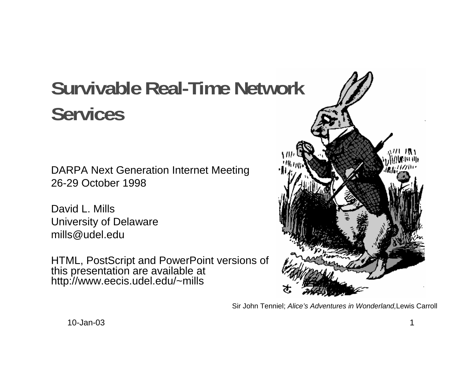# **Survivable Real-Time Network Services**

DARPA Next Generation Internet Meeting 26-29 October 1998

David L. MillsUniversity of Delaware mills@udel.edu

HTML, PostScript and PowerPoint versions of this presentation are available at http://www.eecis.udel.edu/~mills



Sir John Tenniel; Alice's Adventures in Wonderland,Lewis Carroll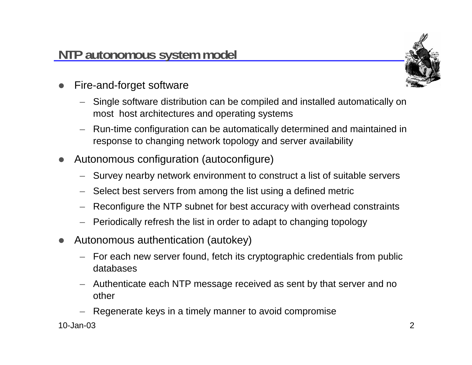

- $\bullet$  Fire-and-forget software
	- Single software distribution can be compiled and installed automatically on most host architectures and operating systems
	- Run-time configuration can be automatically determined and maintained in response to changing network topology and server availability
- $\bullet$  Autonomous configuration (autoconfigure)
	- Survey nearby network environment to construct a list of suitable servers
	- Select best servers from among the list using a defined metric
	- Reconfigure the NTP subnet for best accuracy with overhead constraints
	- Periodically refresh the list in order to adapt to changing topology
- $\bullet$  Autonomous authentication (autokey)
	- For each new server found, fetch its cryptographic credentials from public databases
	- Authenticate each NTP message received as sent by that server and no other
	- Regenerate keys in a timely manner to avoid compromise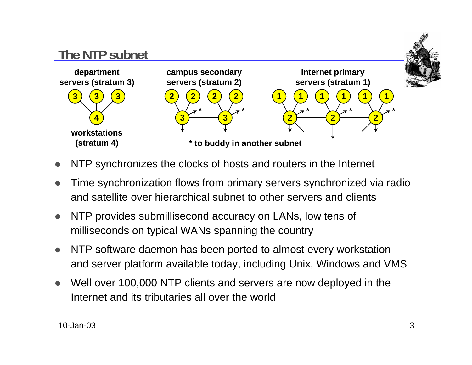

- $\bullet$ NTP synchronizes the clocks of hosts and routers in the Internet
- $\bullet$  Time synchronization flows from primary servers synchronized via radio and satellite over hierarchical subnet to other servers and clients
- $\bullet$  NTP provides submillisecond accuracy on LANs, low tens of milliseconds on typical WANs spanning the country
- $\bullet$  NTP software daemon has been ported to almost every workstation and server platform available today, including Unix, Windows and VMS
- $\bullet$  Well over 100,000 NTP clients and servers are now deployed in the Internet and its tributaries all over the world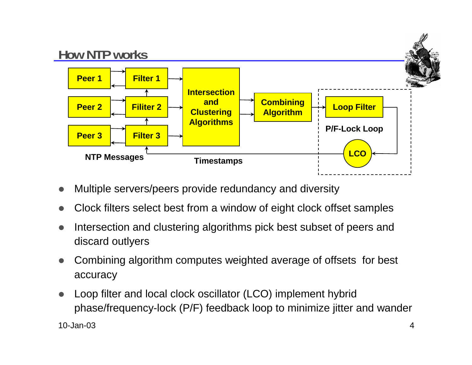

- $\bullet$ Multiple servers/peers provide redundancy and diversity
- $\bullet$ Clock filters select best from a window of eight clock offset samples
- $\bullet$  Intersection and clustering algorithms pick best subset of peers and discard outlyers
- $\bullet$  Combining algorithm computes weighted average of offsets for best accuracy
- $\bullet$  Loop filter and local clock oscillator (LCO) implement hybrid phase/frequency-lock (P/F) feedback loop to minimize jitter and wander

10-Jan-03 $\frac{3}{4}$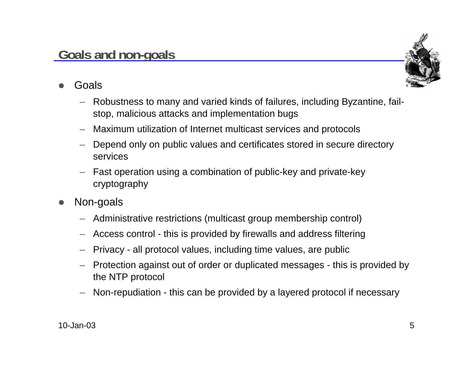#### 10-Jan-03 $3$  5

#### **Goals and non-goals**

- $\bullet$  Goals
	- Robustness to many and varied kinds of failures, including Byzantine, failstop, malicious attacks and implementation bugs
	- Maximum utilization of Internet multicast services and protocols
	- Depend only on public values and certificates stored in secure directory services
	- – Fast operation using a combination of public-key and private-key cryptography
- $\bullet$  Non-goals
	- Administrative restrictions (multicast group membership control)
	- Access control this is provided by firewalls and address filtering
	- Privacy all protocol values, including time values, are public
	- Protection against out of order or duplicated messages this is provided by the NTP protocol
	- Non-repudiation this can be provided by a layered protocol if necessary

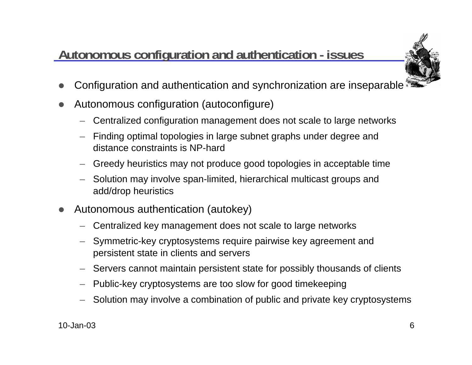# **Autonomous configuration and authentication - issues**



- $\bullet$ Configuration and authentication and synchronization are inseparable
- $\bullet$  Autonomous configuration (autoconfigure)
	- Centralized configuration management does not scale to large networks
	- Finding optimal topologies in large subnet graphs under degree and distance constraints is NP-hard
	- Greedy heuristics may not produce good topologies in acceptable time
	- Solution may involve span-limited, hierarchical multicast groups and add/drop heuristics
- $\bullet$  Autonomous authentication (autokey)
	- Centralized key management does not scale to large networks
	- Symmetric-key cryptosystems require pairwise key agreement and persistent state in clients and servers
	- Servers cannot maintain persistent state for possibly thousands of clients
	- Public-key cryptosystems are too slow for good timekeeping
	- Solution may involve a combination of public and private key cryptosystems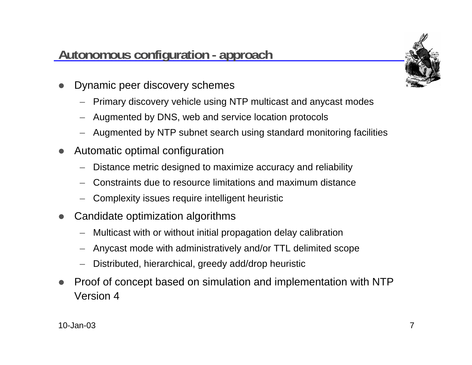## **Autonomous configuration - approach**



- $\bullet$  Dynamic peer discovery schemes
	- Primary discovery vehicle using NTP multicast and anycast modes
	- Augmented by DNS, web and service location protocols
	- Augmented by NTP subnet search using standard monitoring facilities
- $\bullet$  Automatic optimal configuration
	- Distance metric designed to maximize accuracy and reliability
	- Constraints due to resource limitations and maximum distance
	- Complexity issues require intelligent heuristic
- $\bullet$  Candidate optimization algorithms
	- Multicast with or without initial propagation delay calibration
	- Anycast mode with administratively and/or TTL delimited scope
	- Distributed, hierarchical, greedy add/drop heuristic
- $\bullet$  Proof of concept based on simulation and implementation with NTP Version 4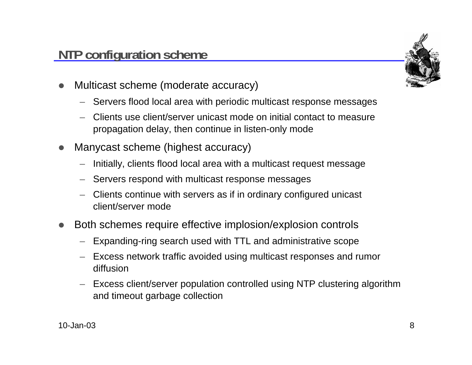#### **NTP configuration scheme**

- $\bullet$  Multicast scheme (moderate accuracy)
	- Servers flood local area with periodic multicast response messages
	- Clients use client/server unicast mode on initial contact to measure propagation delay, then continue in listen-only mode
- $\bullet$  Manycast scheme (highest accuracy)
	- Initially, clients flood local area with a multicast request message
	- Servers respond with multicast response messages
	- Clients continue with servers as if in ordinary configured unicast client/server mode
- $\bullet$  Both schemes require effective implosion/explosion controls
	- Expanding-ring search used with TTL and administrative scope
	- Excess network traffic avoided using multicast responses and rumor diffusion
	- Excess client/server population controlled using NTP clustering algorithm and timeout garbage collection

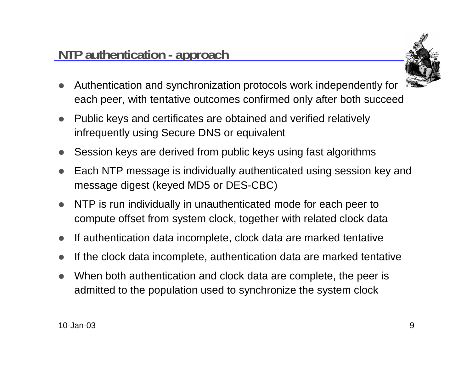

- $\bullet$  Authentication and synchronization protocols work independently for each peer, with tentative outcomes confirmed only after both succeed
- $\bullet$  Public keys and certificates are obtained and verified relatively infrequently using Secure DNS or equivalent
- $\bullet$ Session keys are derived from public keys using fast algorithms
- $\bullet$  Each NTP message is individually authenticated using session key and message digest (keyed MD5 or DES-CBC)
- $\bullet$  NTP is run individually in unauthenticated mode for each peer to compute offset from system clock, together with related clock data
- $\bullet$ If authentication data incomplete, clock data are marked tentative
- $\bullet$ If the clock data incomplete, authentication data are marked tentative
- $\bullet$  When both authentication and clock data are complete, the peer is admitted to the population used to synchronize the system clock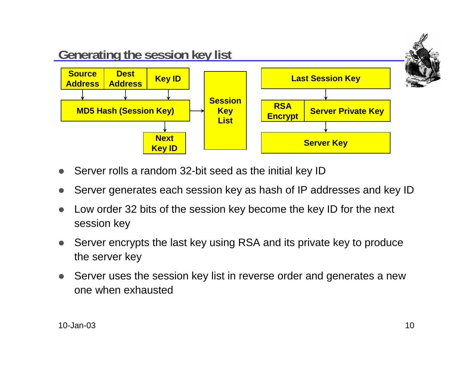

- $\bullet$ Server rolls a random 32-bit seed as the initial key ID
- $\bullet$ Server generates each session key as hash of IP addresses and key ID
- $\bullet$  Low order 32 bits of the session key become the key ID for the next session key
- $\bullet$  Server encrypts the last key using RSA and its private key to produce the server key
- $\bullet$  Server uses the session key list in reverse order and generates a new one when exhausted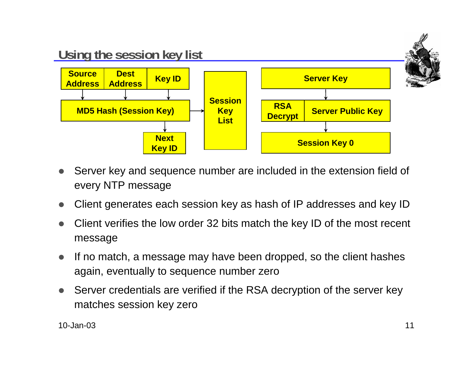

- $\bullet$  Server key and sequence number are included in the extension field of every NTP message
- $\bullet$ Client generates each session key as hash of IP addresses and key ID
- $\bullet$  Client verifies the low order 32 bits match the key ID of the most recent message
- $\bullet$  If no match, a message may have been dropped, so the client hashes again, eventually to sequence number zero
- $\bullet$  Server credentials are verified if the RSA decryption of the server key matches session key zero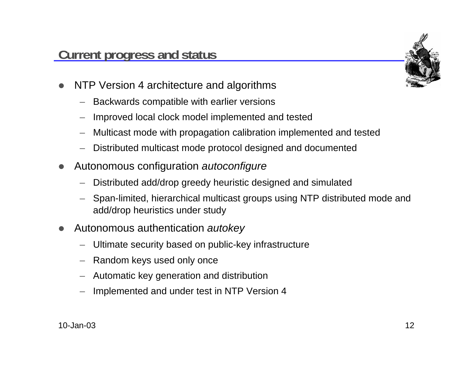

- $\bullet$  NTP Version 4 architecture and algorithms
	- Backwards compatible with earlier versions
	- Improved local clock model implemented and tested
	- Multicast mode with propagation calibration implemented and tested
	- Distributed multicast mode protocol designed and documented
- $\bullet$  Autonomous configuration autoconfigure
	- Distributed add/drop greedy heuristic designed and simulated
	- Span-limited, hierarchical multicast groups using NTP distributed mode and add/drop heuristics under study
- $\bullet$  Autonomous authentication autokey
	- Ultimate security based on public-key infrastructure
	- Random keys used only once
	- Automatic key generation and distribution
	- Implemented and under test in NTP Version 4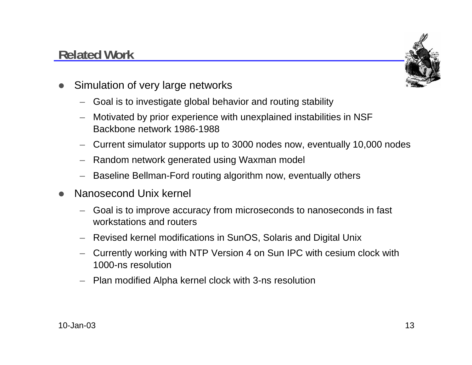# **Related Work**



- $\bullet$  Simulation of very large networks
	- Goal is to investigate global behavior and routing stability
	- Motivated by prior experience with unexplained instabilities in NSF Backbone network 1986-1988
	- Current simulator supports up to 3000 nodes now, eventually 10,000 nodes
	- Random network generated using Waxman model
	- Baseline Bellman-Ford routing algorithm now, eventually others
- $\bullet$  Nanosecond Unix kernel
	- – Goal is to improve accuracy from microseconds to nanoseconds in fast workstations and routers
	- Revised kernel modifications in SunOS, Solaris and Digital Unix
	- Currently working with NTP Version 4 on Sun IPC with cesium clock with 1000-ns resolution
	- Plan modified Alpha kernel clock with 3-ns resolution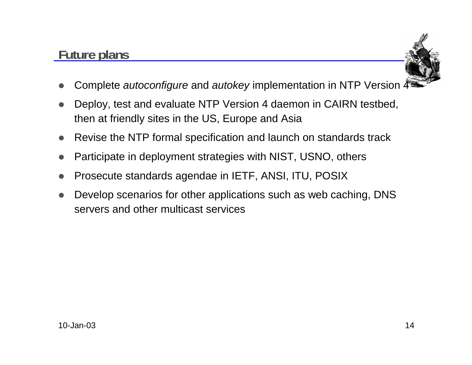## **Future plans**



- $\bullet$ Complete *autoconfigure* and *autokey* implementation in NTP Version  $\Delta$
- $\bullet$  Deploy, test and evaluate NTP Version 4 daemon in CAIRN testbed, then at friendly sites in the US, Europe and Asia
- $\bullet$ Revise the NTP formal specification and launch on standards track
- $\bullet$ Participate in deployment strategies with NIST, USNO, others
- $\bullet$ Prosecute standards agendae in IETF, ANSI, ITU, POSIX
- $\bullet$  Develop scenarios for other applications such as web caching, DNS servers and other multicast services